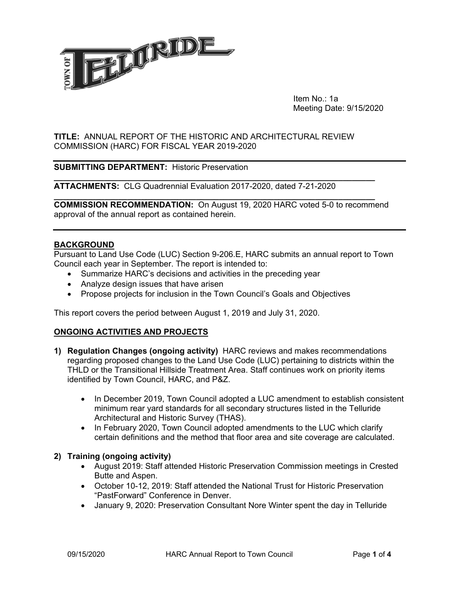

 Item No.: 1a Meeting Date: 9/15/2020

#### **TITLE:** ANNUAL REPORT OF THE HISTORIC AND ARCHITECTURAL REVIEW COMMISSION (HARC) FOR FISCAL YEAR 2019-2020

## **SUBMITTING DEPARTMENT:** Historic Preservation

**ATTACHMENTS:** CLG Quadrennial Evaluation 2017-2020, dated 7-21-2020

**COMMISSION RECOMMENDATION:** On August 19, 2020 HARC voted 5-0 to recommend approval of the annual report as contained herein.

**\_\_\_\_\_\_\_\_\_\_\_\_\_\_\_\_\_\_\_\_\_\_\_\_\_\_\_\_\_\_\_\_\_\_\_\_\_\_\_\_\_\_\_\_\_\_\_\_\_\_\_\_\_\_\_\_\_\_\_\_\_\_\_\_\_\_\_\_\_\_** 

**\_\_\_\_\_\_\_\_\_\_\_\_\_\_\_\_\_\_\_\_\_\_\_\_\_\_\_\_\_\_\_\_\_\_\_\_\_\_\_\_\_\_\_\_\_\_\_\_\_\_\_\_\_\_\_\_\_\_\_\_\_\_\_\_\_\_\_\_\_\_** 

#### **BACKGROUND**

Pursuant to Land Use Code (LUC) Section 9-206.E, HARC submits an annual report to Town Council each year in September. The report is intended to:

- Summarize HARC's decisions and activities in the preceding year
- Analyze design issues that have arisen
- Propose projects for inclusion in the Town Council's Goals and Objectives

This report covers the period between August 1, 2019 and July 31, 2020.

#### **ONGOING ACTIVITIES AND PROJECTS**

- **1) Regulation Changes (ongoing activity)** HARC reviews and makes recommendations regarding proposed changes to the Land Use Code (LUC) pertaining to districts within the THLD or the Transitional Hillside Treatment Area. Staff continues work on priority items identified by Town Council, HARC, and P&Z.
	- In December 2019, Town Council adopted a LUC amendment to establish consistent minimum rear yard standards for all secondary structures listed in the Telluride Architectural and Historic Survey (THAS).
	- In February 2020, Town Council adopted amendments to the LUC which clarify certain definitions and the method that floor area and site coverage are calculated.

#### **2) Training (ongoing activity)**

- August 2019: Staff attended Historic Preservation Commission meetings in Crested Butte and Aspen.
- October 10-12, 2019: Staff attended the National Trust for Historic Preservation "PastForward" Conference in Denver.
- January 9, 2020: Preservation Consultant Nore Winter spent the day in Telluride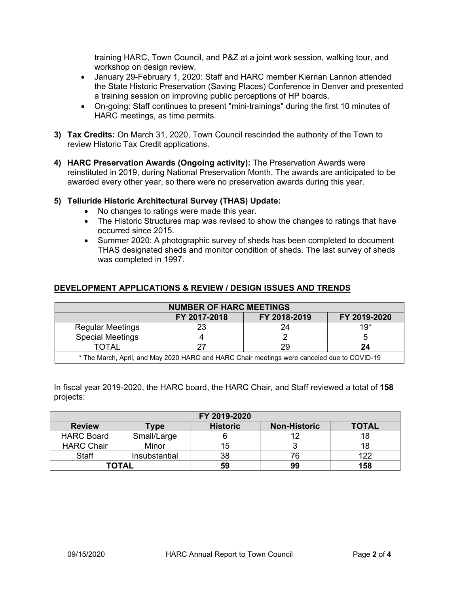training HARC, Town Council, and P&Z at a joint work session, walking tour, and workshop on design review.

- January 29-February 1, 2020: Staff and HARC member Kiernan Lannon attended the State Historic Preservation (Saving Places) Conference in Denver and presented a training session on improving public perceptions of HP boards.
- On-going: Staff continues to present "mini-trainings" during the first 10 minutes of HARC meetings, as time permits.
- **3) Tax Credits:** On March 31, 2020, Town Council rescinded the authority of the Town to review Historic Tax Credit applications.
- **4) HARC Preservation Awards (Ongoing activity):** The Preservation Awards were reinstituted in 2019, during National Preservation Month. The awards are anticipated to be awarded every other year, so there were no preservation awards during this year.

## **5) Telluride Historic Architectural Survey (THAS) Update:**

- No changes to ratings were made this year.
- The Historic Structures map was revised to show the changes to ratings that have occurred since 2015.
- Summer 2020: A photographic survey of sheds has been completed to document THAS designated sheds and monitor condition of sheds. The last survey of sheds was completed in 1997.

## **DEVELOPMENT APPLICATIONS & REVIEW / DESIGN ISSUES AND TRENDS**

| <b>NUMBER OF HARC MEETINGS</b>                                                              |              |              |              |  |  |  |
|---------------------------------------------------------------------------------------------|--------------|--------------|--------------|--|--|--|
|                                                                                             | FY 2017-2018 | FY 2018-2019 | FY 2019-2020 |  |  |  |
| <b>Regular Meetings</b>                                                                     |              | 24           | $19*$        |  |  |  |
| <b>Special Meetings</b>                                                                     |              |              |              |  |  |  |
| TOTAL                                                                                       |              |              | 24           |  |  |  |
| * The March, April, and May 2020 HARC and HARC Chair meetings were canceled due to COVID-19 |              |              |              |  |  |  |

In fiscal year 2019-2020, the HARC board, the HARC Chair, and Staff reviewed a total of **158** projects:

| FY 2019-2020      |               |                 |                     |              |  |  |
|-------------------|---------------|-----------------|---------------------|--------------|--|--|
| <b>Review</b>     | <b>vpe</b>    | <b>Historic</b> | <b>Non-Historic</b> | <b>TOTAL</b> |  |  |
| <b>HARC Board</b> | Small/Large   |                 |                     |              |  |  |
| <b>HARC Chair</b> | Minor         | 15              |                     |              |  |  |
| <b>Staff</b>      | Insubstantial | 38              | 76                  | 100          |  |  |
| <b>TOTAL</b>      |               | 59              | 99                  | 158          |  |  |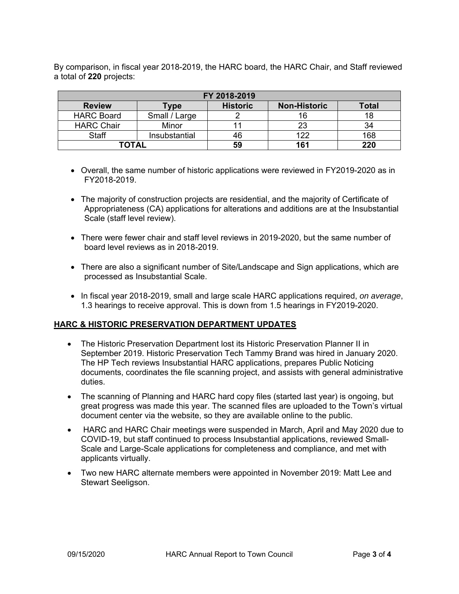By comparison, in fiscal year 2018-2019, the HARC board, the HARC Chair, and Staff reviewed a total of **220** projects:

| FY 2018-2019      |               |                 |                     |              |  |  |
|-------------------|---------------|-----------------|---------------------|--------------|--|--|
| <b>Review</b>     | <b>Type</b>   | <b>Historic</b> | <b>Non-Historic</b> | <b>Total</b> |  |  |
| <b>HARC Board</b> | Small / Large |                 | 16                  | 18           |  |  |
| <b>HARC Chair</b> | Minor         |                 | 23                  | 34           |  |  |
| <b>Staff</b>      | Insubstantial | 46              | 122                 | 168          |  |  |
| <b>TOTAL</b>      |               | 59              | 161                 | 220          |  |  |

- Overall, the same number of historic applications were reviewed in FY2019-2020 as in FY2018-2019.
- The majority of construction projects are residential, and the majority of Certificate of Appropriateness (CA) applications for alterations and additions are at the Insubstantial Scale (staff level review).
- There were fewer chair and staff level reviews in 2019-2020, but the same number of board level reviews as in 2018-2019.
- There are also a significant number of Site/Landscape and Sign applications, which are processed as Insubstantial Scale.
- In fiscal year 2018-2019, small and large scale HARC applications required, *on average*, 1.3 hearings to receive approval. This is down from 1.5 hearings in FY2019-2020.

# **HARC & HISTORIC PRESERVATION DEPARTMENT UPDATES**

- The Historic Preservation Department lost its Historic Preservation Planner II in September 2019. Historic Preservation Tech Tammy Brand was hired in January 2020. The HP Tech reviews Insubstantial HARC applications, prepares Public Noticing documents, coordinates the file scanning project, and assists with general administrative duties.
- The scanning of Planning and HARC hard copy files (started last year) is ongoing, but great progress was made this year. The scanned files are uploaded to the Town's virtual document center via the website, so they are available online to the public.
- HARC and HARC Chair meetings were suspended in March, April and May 2020 due to COVID-19, but staff continued to process Insubstantial applications, reviewed Small-Scale and Large-Scale applications for completeness and compliance, and met with applicants virtually.
- Two new HARC alternate members were appointed in November 2019: Matt Lee and Stewart Seeligson.